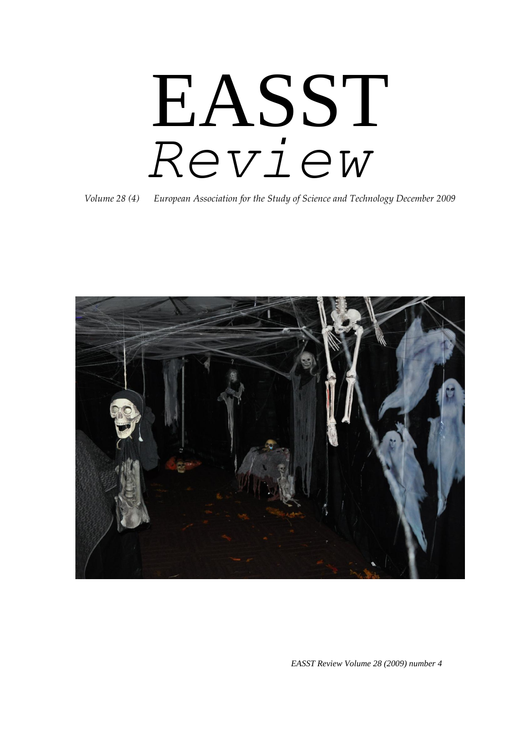# EASST *Review*

*Volume 28 (4) European Association for the Study of Science and Technology December 2009*



*EASST Review Volume 28 (2009) number 4*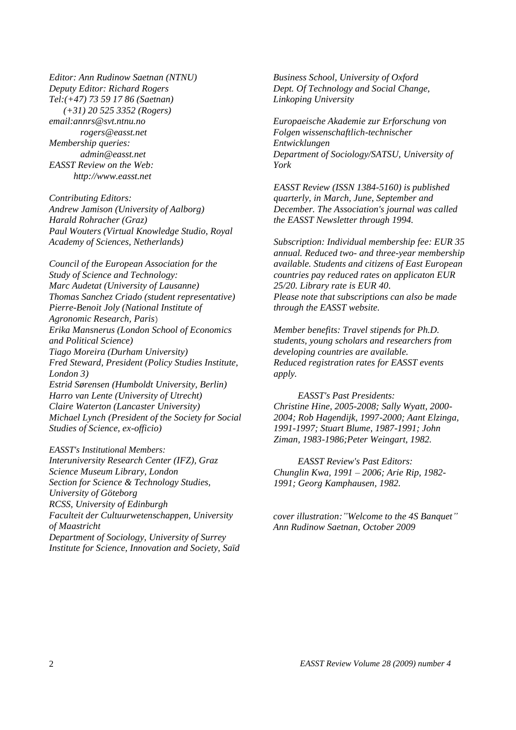*Editor: Ann Rudinow Saetnan (NTNU) Deputy Editor: Richard Rogers Tel:(+47) 73 59 17 86 (Saetnan) (+31) 20 525 3352 (Rogers) email:annrs@svt.ntnu.no rogers@easst.net Membership queries: admin@easst.net EASST Review on the Web: http://www.easst.net*

*Contributing Editors: Andrew Jamison (University of Aalborg) Harald Rohracher (Graz) Paul Wouters (Virtual Knowledge Studio, Royal Academy of Sciences, Netherlands)* 

*Council of the European Association for the Study of Science and Technology: Marc Audetat (University of Lausanne) Thomas Sanchez Criado (student representative) Pierre-Benoit Joly (National Institute of Agronomic Research, Paris*) *Erika Mansnerus (London School of Economics and Political Science) Tiago Moreira (Durham University) Fred Steward, President (Policy Studies Institute, London 3) Estrid Sørensen (Humboldt University, Berlin) Harro van Lente (University of Utrecht) Claire Waterton (Lancaster University) Michael Lynch (President of the Society for Social Studies of Science, ex-officio)* 

*EASST's Institutional Members: Interuniversity Research Center (IFZ), Graz Science Museum Library, London Section for Science & Technology Studies, University of Göteborg RCSS, University of Edinburgh Faculteit der Cultuurwetenschappen, University of Maastricht Department of Sociology, University of Surrey Institute for Science, Innovation and Society, Saïd* 

*Business School, University of Oxford Dept. Of Technology and Social Change, Linkoping University*

*Europaeische Akademie zur Erforschung von Folgen wissenschaftlich-technischer Entwicklungen Department of Sociology/SATSU, University of York*

*EASST Review (ISSN 1384-5160) is published quarterly, in March, June, September and December. The Association's journal was called the EASST Newsletter through 1994.* 

*Subscription: Individual membership fee: EUR 35 annual. Reduced two- and three-year membership available. Students and citizens of East European countries pay reduced rates on applicaton EUR 25/20. Library rate is EUR 40. Please note that subscriptions can also be made through the EASST website.* 

*Member benefits: Travel stipends for Ph.D. students, young scholars and researchers from developing countries are available. Reduced registration rates for EASST events apply.* 

*EASST's Past Presidents: Christine Hine, 2005-2008; Sally Wyatt, 2000- 2004; Rob Hagendijk, 1997-2000; Aant Elzinga, 1991-1997; Stuart Blume, 1987-1991; John Ziman, 1983-1986;Peter Weingart, 1982.* 

*EASST Review's Past Editors: Chunglin Kwa, 1991 – 2006; Arie Rip, 1982- 1991; Georg Kamphausen, 1982.*

*cover illustration:"Welcome to the 4S Banquet" Ann Rudinow Saetnan, October 2009*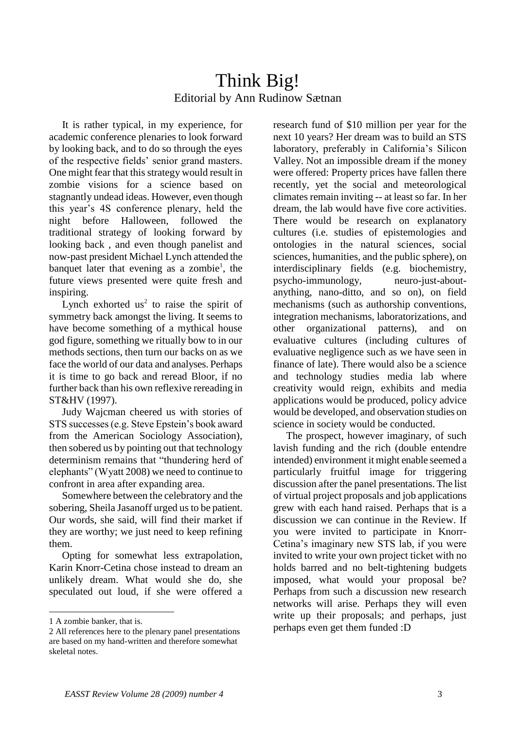### Think Big! Editorial by Ann Rudinow Sætnan

 It is rather typical, in my experience, for academic conference plenaries to look forward by looking back, and to do so through the eyes of the respective fields" senior grand masters. One might fear that this strategy would result in zombie visions for a science based on stagnantly undead ideas. However, even though this year"s 4S conference plenary, held the night before Halloween, followed the traditional strategy of looking forward by looking back , and even though panelist and now-past president Michael Lynch attended the banquet later that evening as a zombie<sup>1</sup>, the future views presented were quite fresh and inspiring.

Lynch exhorted  $us^2$  to raise the spirit of symmetry back amongst the living. It seems to have become something of a mythical house god figure, something we ritually bow to in our methods sections, then turn our backs on as we face the world of our data and analyses. Perhaps it is time to go back and reread Bloor, if no further back than his own reflexive rereading in ST&HV (1997).

 Judy Wajcman cheered us with stories of STS successes (e.g. Steve Epstein"s book award from the American Sociology Association), then sobered us by pointing out that technology determinism remains that "thundering herd of elephants" (Wyatt 2008) we need to continue to confront in area after expanding area.

 Somewhere between the celebratory and the sobering, Sheila Jasanoff urged us to be patient. Our words, she said, will find their market if they are worthy; we just need to keep refining them.

 Opting for somewhat less extrapolation, Karin Knorr-Cetina chose instead to dream an unlikely dream. What would she do, she speculated out loud, if she were offered a

-

research fund of \$10 million per year for the next 10 years? Her dream was to build an STS laboratory, preferably in California's Silicon Valley. Not an impossible dream if the money were offered: Property prices have fallen there recently, yet the social and meteorological climates remain inviting -- at least so far. In her dream, the lab would have five core activities. There would be research on explanatory cultures (i.e. studies of epistemologies and ontologies in the natural sciences, social sciences, humanities, and the public sphere), on interdisciplinary fields (e.g. biochemistry, psycho-immunology, neuro-just-aboutanything, nano-ditto, and so on), on field mechanisms (such as authorship conventions, integration mechanisms, laboratorizations, and other organizational patterns), and on evaluative cultures (including cultures of evaluative negligence such as we have seen in finance of late). There would also be a science and technology studies media lab where creativity would reign, exhibits and media applications would be produced, policy advice would be developed, and observation studies on science in society would be conducted.

 The prospect, however imaginary, of such lavish funding and the rich (double entendre intended) environment it might enable seemed a particularly fruitful image for triggering discussion after the panel presentations. The list of virtual project proposals and job applications grew with each hand raised. Perhaps that is a discussion we can continue in the Review. If you were invited to participate in Knorr-Cetina"s imaginary new STS lab, if you were invited to write your own project ticket with no holds barred and no belt-tightening budgets imposed, what would your proposal be? Perhaps from such a discussion new research networks will arise. Perhaps they will even write up their proposals; and perhaps, just perhaps even get them funded :D

<sup>1</sup> A zombie banker, that is.

<sup>2</sup> All references here to the plenary panel presentations are based on my hand-written and therefore somewhat skeletal notes.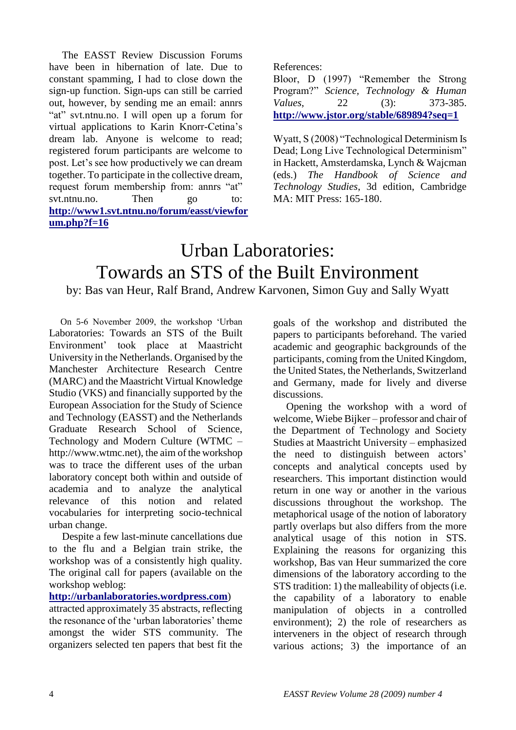The EASST Review Discussion Forums have been in hibernation of late. Due to constant spamming, I had to close down the sign-up function. Sign-ups can still be carried out, however, by sending me an email: annrs "at" svt.ntnu.no. I will open up a forum for virtual applications to Karin Knorr-Cetina"s dream lab. Anyone is welcome to read; registered forum participants are welcome to post. Let"s see how productively we can dream together. To participate in the collective dream, request forum membership from: annrs "at" svt.ntnu.no. Then go to: **[http://www1.svt.ntnu.no/forum/easst/viewfor](http://www1.svt.ntnu.no/forum/easst/viewforum.php?f=16) [um.php?f=16](http://www1.svt.ntnu.no/forum/easst/viewforum.php?f=16)**

References:

Bloor, D (1997) "Remember the Strong Program?" *Science, Technology & Human Values*, 22 (3): 373-385. **<http://www.jstor.org/stable/689894?seq=1>**

Wyatt, S (2008) "Technological Determinism Is Dead; Long Live Technological Determinism" in Hackett, Amsterdamska, Lynch & Wajcman (eds.) *The Handbook of Science and Technology Studies*, 3d edition, Cambridge MA: MIT Press: 165-180.

## Urban Laboratories: Towards an STS of the Built Environment by: Bas van Heur, Ralf Brand, Andrew Karvonen, Simon Guy and Sally Wyatt

 On 5-6 November 2009, the workshop "Urban Laboratories: Towards an STS of the Built Environment" took place at Maastricht University in the Netherlands. Organised by the Manchester Architecture Research Centre (MARC) and the Maastricht Virtual Knowledge Studio (VKS) and financially supported by the European Association for the Study of Science and Technology (EASST) and the Netherlands Graduate Research School of Science, Technology and Modern Culture (WTMC – http://www.wtmc.net), the aim of the workshop was to trace the different uses of the urban laboratory concept both within and outside of academia and to analyze the analytical relevance of this notion and related vocabularies for interpreting socio-technical urban change.

 Despite a few last-minute cancellations due to the flu and a Belgian train strike, the workshop was of a consistently high quality. The original call for papers (available on the workshop weblog:

#### **[http://urbanlaboratories.wordpress.com](http://urbanlaboratories.wordpress.com/)**)

attracted approximately 35 abstracts, reflecting the resonance of the 'urban laboratories' theme amongst the wider STS community. The organizers selected ten papers that best fit the goals of the workshop and distributed the papers to participants beforehand. The varied academic and geographic backgrounds of the participants, coming from the United Kingdom, the United States, the Netherlands, Switzerland and Germany, made for lively and diverse discussions.

 Opening the workshop with a word of welcome, Wiebe Bijker – professor and chair of the Department of Technology and Society Studies at Maastricht University – emphasized the need to distinguish between actors" concepts and analytical concepts used by researchers. This important distinction would return in one way or another in the various discussions throughout the workshop. The metaphorical usage of the notion of laboratory partly overlaps but also differs from the more analytical usage of this notion in STS. Explaining the reasons for organizing this workshop, Bas van Heur summarized the core dimensions of the laboratory according to the STS tradition: 1) the malleability of objects (i.e. the capability of a laboratory to enable manipulation of objects in a controlled environment); 2) the role of researchers as interveners in the object of research through various actions; 3) the importance of an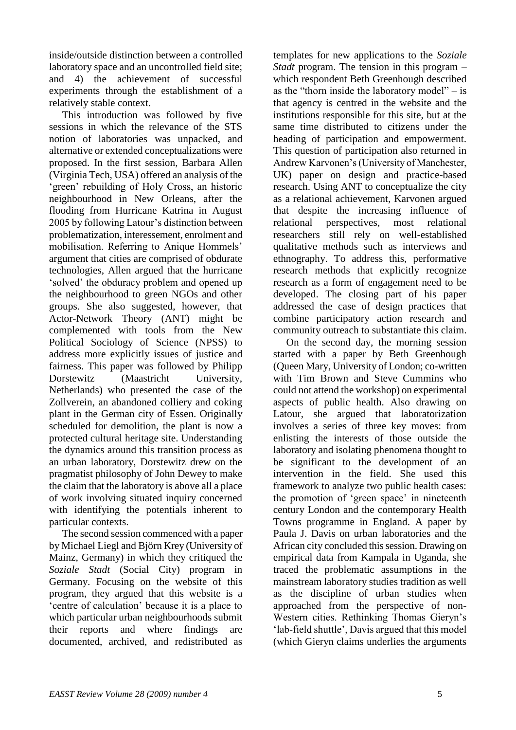inside/outside distinction between a controlled laboratory space and an uncontrolled field site; and 4) the achievement of successful experiments through the establishment of a relatively stable context.

 This introduction was followed by five sessions in which the relevance of the STS notion of laboratories was unpacked, and alternative or extended conceptualizations were proposed. In the first session, Barbara Allen (Virginia Tech, USA) offered an analysis of the 'green' rebuilding of Holy Cross, an historic neighbourhood in New Orleans, after the flooding from Hurricane Katrina in August 2005 by following Latour"s distinction between problematization, interessement, enrolment and mobilisation. Referring to Anique Hommels' argument that cities are comprised of obdurate technologies, Allen argued that the hurricane "solved" the obduracy problem and opened up the neighbourhood to green NGOs and other groups. She also suggested, however, that Actor-Network Theory (ANT) might be complemented with tools from the New Political Sociology of Science (NPSS) to address more explicitly issues of justice and fairness. This paper was followed by Philipp Dorstewitz (Maastricht University, Netherlands) who presented the case of the Zollverein, an abandoned colliery and coking plant in the German city of Essen. Originally scheduled for demolition, the plant is now a protected cultural heritage site. Understanding the dynamics around this transition process as an urban laboratory, Dorstewitz drew on the pragmatist philosophy of John Dewey to make the claim that the laboratory is above all a place of work involving situated inquiry concerned with identifying the potentials inherent to particular contexts.

 The second session commenced with a paper by Michael Liegl and Björn Krey (University of Mainz, Germany) in which they critiqued the *Soziale Stadt* (Social City) program in Germany. Focusing on the website of this program, they argued that this website is a "centre of calculation" because it is a place to which particular urban neighbourhoods submit their reports and where findings are documented, archived, and redistributed as

templates for new applications to the *Soziale Stadt* program. The tension in this program – which respondent Beth Greenhough described as the "thorn inside the laboratory model" – is that agency is centred in the website and the institutions responsible for this site, but at the same time distributed to citizens under the heading of participation and empowerment. This question of participation also returned in Andrew Karvonen"s (University of Manchester, UK) paper on design and practice-based research. Using ANT to conceptualize the city as a relational achievement, Karvonen argued that despite the increasing influence of relational perspectives, most relational researchers still rely on well-established qualitative methods such as interviews and ethnography. To address this, performative research methods that explicitly recognize research as a form of engagement need to be developed. The closing part of his paper addressed the case of design practices that combine participatory action research and community outreach to substantiate this claim.

 On the second day, the morning session started with a paper by Beth Greenhough (Queen Mary, University of London; co-written with Tim Brown and Steve Cummins who could not attend the workshop) on experimental aspects of public health. Also drawing on Latour, she argued that laboratorization involves a series of three key moves: from enlisting the interests of those outside the laboratory and isolating phenomena thought to be significant to the development of an intervention in the field. She used this framework to analyze two public health cases: the promotion of "green space" in nineteenth century London and the contemporary Health Towns programme in England. A paper by Paula J. Davis on urban laboratories and the African city concluded this session. Drawing on empirical data from Kampala in Uganda, she traced the problematic assumptions in the mainstream laboratory studies tradition as well as the discipline of urban studies when approached from the perspective of non-Western cities. Rethinking Thomas Gieryn"s 'lab-field shuttle', Davis argued that this model (which Gieryn claims underlies the arguments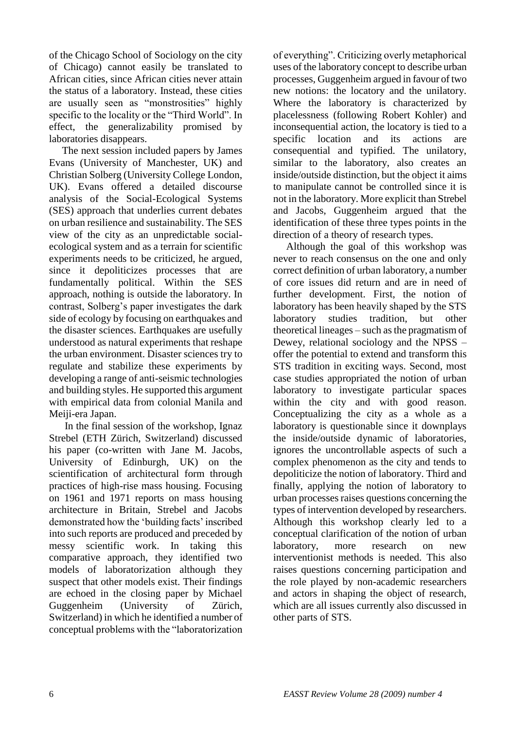of the Chicago School of Sociology on the city of Chicago) cannot easily be translated to African cities, since African cities never attain the status of a laboratory. Instead, these cities are usually seen as "monstrosities" highly specific to the locality or the "Third World". In effect, the generalizability promised by laboratories disappears.

 The next session included papers by James Evans (University of Manchester, UK) and Christian Solberg (University College London, UK). Evans offered a detailed discourse analysis of the Social-Ecological Systems (SES) approach that underlies current debates on urban resilience and sustainability. The SES view of the city as an unpredictable socialecological system and as a terrain for scientific experiments needs to be criticized, he argued, since it depoliticizes processes that are fundamentally political. Within the SES approach, nothing is outside the laboratory. In contrast, Solberg"s paper investigates the dark side of ecology by focusing on earthquakes and the disaster sciences. Earthquakes are usefully understood as natural experiments that reshape the urban environment. Disaster sciences try to regulate and stabilize these experiments by developing a range of anti-seismic technologies and building styles. He supported this argument with empirical data from colonial Manila and Meiji-era Japan.

 In the final session of the workshop, Ignaz Strebel (ETH Zürich, Switzerland) discussed his paper (co-written with Jane M. Jacobs, University of Edinburgh, UK) on the scientification of architectural form through practices of high-rise mass housing. Focusing on 1961 and 1971 reports on mass housing architecture in Britain, Strebel and Jacobs demonstrated how the "building facts" inscribed into such reports are produced and preceded by messy scientific work. In taking this comparative approach, they identified two models of laboratorization although they suspect that other models exist. Their findings are echoed in the closing paper by Michael Guggenheim (University of Zürich, Switzerland) in which he identified a number of conceptual problems with the "laboratorization

of everything". Criticizing overly metaphorical uses of the laboratory concept to describe urban processes, Guggenheim argued in favour of two new notions: the locatory and the unilatory. Where the laboratory is characterized by placelessness (following Robert Kohler) and inconsequential action, the locatory is tied to a specific location and its actions are consequential and typified. The unilatory, similar to the laboratory, also creates an inside/outside distinction, but the object it aims to manipulate cannot be controlled since it is not in the laboratory. More explicit than Strebel and Jacobs, Guggenheim argued that the identification of these three types points in the direction of a theory of research types.

 Although the goal of this workshop was never to reach consensus on the one and only correct definition of urban laboratory, a number of core issues did return and are in need of further development. First, the notion of laboratory has been heavily shaped by the STS laboratory studies tradition, but other theoretical lineages – such as the pragmatism of Dewey, relational sociology and the NPSS – offer the potential to extend and transform this STS tradition in exciting ways. Second, most case studies appropriated the notion of urban laboratory to investigate particular spaces within the city and with good reason. Conceptualizing the city as a whole as a laboratory is questionable since it downplays the inside/outside dynamic of laboratories, ignores the uncontrollable aspects of such a complex phenomenon as the city and tends to depoliticize the notion of laboratory. Third and finally, applying the notion of laboratory to urban processes raises questions concerning the types of intervention developed by researchers. Although this workshop clearly led to a conceptual clarification of the notion of urban laboratory, more research on new interventionist methods is needed. This also raises questions concerning participation and the role played by non-academic researchers and actors in shaping the object of research, which are all issues currently also discussed in other parts of STS.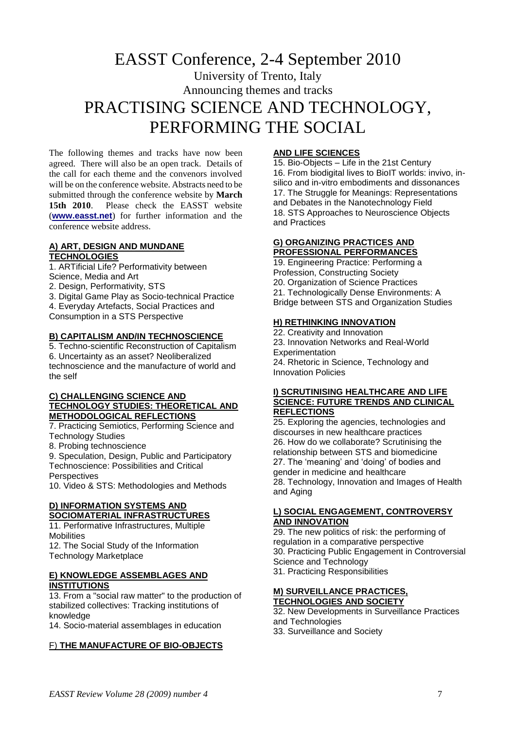## EASST Conference, 2-4 September 2010 University of Trento, Italy Announcing themes and tracks PRACTISING SCIENCE AND TECHNOLOGY, PERFORMING THE SOCIAL

The following themes and tracks have now been agreed. There will also be an open track. Details of the call for each theme and the convenors involved will be on the conference website. Abstracts need to be submitted through the conference website by **March 15th 2010**. Please check the EASST website (**[www.easst.net](http://www.easst.net/)**) for further information and the conference website address.

#### **A) ART, DESIGN AND MUNDANE TECHNOLOGIES**

- 1. ARTificial Life? Performativity between
- Science, Media and Art
- 2. Design, Performativity, STS
- 3. Digital Game Play as Socio-technical Practice
- 4. Everyday Artefacts, Social Practices and
- Consumption in a STS Perspective

#### **B) CAPITALISM AND/IN TECHNOSCIENCE**

5. Techno-scientific Reconstruction of Capitalism 6. Uncertainty as an asset? Neoliberalized technoscience and the manufacture of world and the self

#### **C) CHALLENGING SCIENCE AND TECHNOLOGY STUDIES: THEORETICAL AND METHODOLOGICAL REFLECTIONS**

7. Practicing Semiotics, Performing Science and Technology Studies

8. Probing technoscience

9. Speculation, Design, Public and Participatory Technoscience: Possibilities and Critical

**Perspectives** 

10. Video & STS: Methodologies and Methods

#### **D) INFORMATION SYSTEMS AND SOCIOMATERIAL INFRASTRUCTURES**

11. Performative Infrastructures, Multiple **Mobilities** 12. The Social Study of the Information

Technology Marketplace

#### **E) KNOWLEDGE ASSEMBLAGES AND INSTITUTIONS**

13. From a "social raw matter" to the production of stabilized collectives: Tracking institutions of knowledge

14. Socio-material assemblages in education

#### F) **THE MANUFACTURE OF BIO-OBJECTS**

#### **AND LIFE SCIENCES**

15. Bio-Objects – Life in the 21st Century 16. From biodigital lives to BioIT worlds: invivo, insilico and in-vitro embodiments and dissonances 17. The Struggle for Meanings: Representations and Debates in the Nanotechnology Field 18. STS Approaches to Neuroscience Objects and Practices

#### **G) ORGANIZING PRACTICES AND PROFESSIONAL PERFORMANCES**

19. Engineering Practice: Performing a Profession, Constructing Society 20. Organization of Science Practices 21. Technologically Dense Environments: A Bridge between STS and Organization Studies

#### **H) RETHINKING INNOVATION**

22. Creativity and Innovation 23. Innovation Networks and Real-World Experimentation 24. Rhetoric in Science, Technology and Innovation Policies

#### **I) SCRUTINISING HEALTHCARE AND LIFE SCIENCE: FUTURE TRENDS AND CLINICAL REFLECTIONS**

25. Exploring the agencies, technologies and discourses in new healthcare practices 26. How do we collaborate? Scrutinising the relationship between STS and biomedicine 27. The 'meaning' and 'doing' of bodies and gender in medicine and healthcare 28. Technology, Innovation and Images of Health and Aging

#### **L) SOCIAL ENGAGEMENT, CONTROVERSY AND INNOVATION**

29. The new politics of risk: the performing of regulation in a comparative perspective 30. Practicing Public Engagement in Controversial Science and Technology 31. Practicing Responsibilities

#### **M) SURVEILLANCE PRACTICES, TECHNOLOGIES AND SOCIETY**

32. New Developments in Surveillance Practices and Technologies

33. Surveillance and Society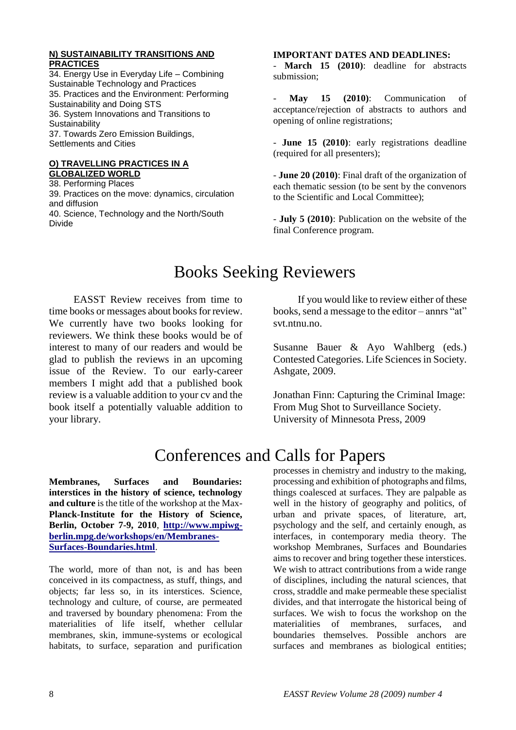#### **N) SUSTAINABILITY TRANSITIONS AND PRACTICES**

34. Energy Use in Everyday Life – Combining Sustainable Technology and Practices 35. Practices and the Environment: Performing Sustainability and Doing STS 36. System Innovations and Transitions to **Sustainability** 37. Towards Zero Emission Buildings, Settlements and Cities

#### **O) TRAVELLING PRACTICES IN A GLOBALIZED WORLD**

38. Performing Places 39. Practices on the move: dynamics, circulation and diffusion 40. Science, Technology and the North/South Divide

#### **IMPORTANT DATES AND DEADLINES:**

**March 15 (2010)**: deadline for abstracts submission;

- **May 15 (2010)**: Communication of acceptance/rejection of abstracts to authors and opening of online registrations;

- **June 15 (2010)**: early registrations deadline (required for all presenters);

- **June 20 (2010)**: Final draft of the organization of each thematic session (to be sent by the convenors to the Scientific and Local Committee);

- **July 5 (2010)**: Publication on the website of the final Conference program.

## Books Seeking Reviewers

EASST Review receives from time to time books or messages about books for review. We currently have two books looking for reviewers. We think these books would be of interest to many of our readers and would be glad to publish the reviews in an upcoming issue of the Review. To our early-career members I might add that a published book review is a valuable addition to your cv and the book itself a potentially valuable addition to your library.

If you would like to review either of these books, send a message to the editor – annrs "at" svt.ntnu.no.

Susanne Bauer & Ayo Wahlberg (eds.) Contested Categories. Life Sciences in Society. Ashgate, 2009.

Jonathan Finn: Capturing the Criminal Image: From Mug Shot to Surveillance Society. University of Minnesota Press, 2009

## Conferences and Calls for Papers

**Membranes, Surfaces and Boundaries: interstices in the history of science, technology and culture** is the title of the workshop at the Max-**Planck-Institute for the History of Science, Berlin, October 7-9, 2010**, **[http://www.mpiwg](http://www.mpiwg-berlin.mpg.de/workshops/en/Membranes-Surfaces-Boundaries.html)[berlin.mpg.de/workshops/en/Membranes-](http://www.mpiwg-berlin.mpg.de/workshops/en/Membranes-Surfaces-Boundaries.html)[Surfaces-Boundaries.html](http://www.mpiwg-berlin.mpg.de/workshops/en/Membranes-Surfaces-Boundaries.html)**.

The world, more of than not, is and has been conceived in its compactness, as stuff, things, and objects; far less so, in its interstices. Science, technology and culture, of course, are permeated and traversed by boundary phenomena: From the materialities of life itself, whether cellular membranes, skin, immune-systems or ecological habitats, to surface, separation and purification

processes in chemistry and industry to the making, processing and exhibition of photographs and films, things coalesced at surfaces. They are palpable as well in the history of geography and politics, of urban and private spaces, of literature, art, psychology and the self, and certainly enough, as interfaces, in contemporary media theory. The workshop Membranes, Surfaces and Boundaries aims to recover and bring together these interstices. We wish to attract contributions from a wide range of disciplines, including the natural sciences, that cross, straddle and make permeable these specialist divides, and that interrogate the historical being of surfaces. We wish to focus the workshop on the materialities of membranes, surfaces, and boundaries themselves. Possible anchors are surfaces and membranes as biological entities;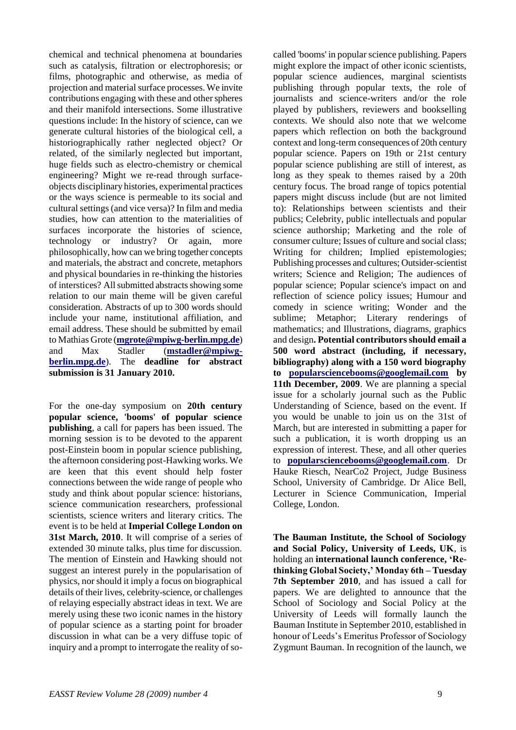chemical and technical phenomena at boundaries such as catalysis, filtration or electrophoresis; or films, photographic and otherwise, as media of projection and material surface processes. We invite contributions engaging with these and other spheres and their manifold intersections. Some illustrative questions include: In the history of science, can we generate cultural histories of the biological cell, a historiographically rather neglected object? Or related, of the similarly neglected but important, huge fields such as electro-chemistry or chemical engineering? Might we re-read through surfaceobjects disciplinary histories, experimental practices or the ways science is permeable to its social and cultural settings (and vice versa)? In film and media studies, how can attention to the materialities of surfaces incorporate the histories of science, technology or industry? Or again, more philosophically, how can we bring together concepts and materials, the abstract and concrete, metaphors and physical boundaries in re-thinking the histories of interstices? All submitted abstracts showing some relation to our main theme will be given careful consideration. Abstracts of up to 300 words should include your name, institutional affiliation, and email address. These should be submitted by email to Mathias Grote (**[mgrote@mpiwg-berlin.mpg.de](mailto:mgrote@mpiwg-berlin.mpg.de)**) and Max Stadler (**[mstadler@mpiwg](mailto:mstadler@mpiwg-berlin.mpg.de)[berlin.mpg.de](mailto:mstadler@mpiwg-berlin.mpg.de)**). The **deadline for abstract submission is 31 January 2010.**

For the one-day symposium on **20th century popular science, 'booms' of popular science publishing**, a call for papers has been issued. The morning session is to be devoted to the apparent post-Einstein boom in popular science publishing, the afternoon considering post-Hawking works. We are keen that this event should help foster connections between the wide range of people who study and think about popular science: historians, science communication researchers, professional scientists, science writers and literary critics. The event is to be held at **Imperial College London on 31st March, 2010**. It will comprise of a series of extended 30 minute talks, plus time for discussion. The mention of Einstein and Hawking should not suggest an interest purely in the popularisation of physics, nor should it imply a focus on biographical details of their lives, celebrity-science, or challenges of relaying especially abstract ideas in text. We are merely using these two iconic names in the history of popular science as a starting point for broader discussion in what can be a very diffuse topic of inquiry and a prompt to interrogate the reality of so-

called 'booms' in popular science publishing. Papers might explore the impact of other iconic scientists, popular science audiences, marginal scientists publishing through popular texts, the role of journalists and science-writers and/or the role played by publishers, reviewers and bookselling contexts. We should also note that we welcome papers which reflection on both the background context and long-term consequences of 20th century popular science. Papers on 19th or 21st century popular science publishing are still of interest, as long as they speak to themes raised by a 20th century focus. The broad range of topics potential papers might discuss include (but are not limited to): Relationships between scientists and their publics; Celebrity, public intellectuals and popular science authorship; Marketing and the role of consumer culture; Issues of culture and social class; Writing for children; Implied epistemologies; Publishing processes and cultures; Outsider-scientist writers; Science and Religion; The audiences of popular science; Popular science's impact on and reflection of science policy issues; Humour and comedy in science writing; Wonder and the sublime; Metaphor; Literary renderings of mathematics; and Illustrations, diagrams, graphics and design**. Potential contributors should email a 500 word abstract (including, if necessary, bibliography) along with a 150 word biography to [popularsciencebooms@googlemail.com](mailto:popularsciencebooms@googlemail.com) by 11th December, 2009**. We are planning a special issue for a scholarly journal such as the Public Understanding of Science, based on the event. If you would be unable to join us on the 31st of March, but are interested in submitting a paper for such a publication, it is worth dropping us an expression of interest. These, and all other queries to **[popularsciencebooms@googlemail.com](mailto:popularsciencebooms@googlemail.com)**. Dr Hauke Riesch, NearCo2 Project, Judge Business School, University of Cambridge. Dr Alice Bell, Lecturer in Science Communication, Imperial College, London.

**The Bauman Institute, the School of Sociology and Social Policy, University of Leeds, UK**, is holding an **international launch conference, 'Rethinking Global Society,' Monday 6th – Tuesday 7th September 2010**, and has issued a call for papers. We are delighted to announce that the School of Sociology and Social Policy at the University of Leeds will formally launch the Bauman Institute in September 2010, established in honour of Leeds"s Emeritus Professor of Sociology Zygmunt Bauman. In recognition of the launch, we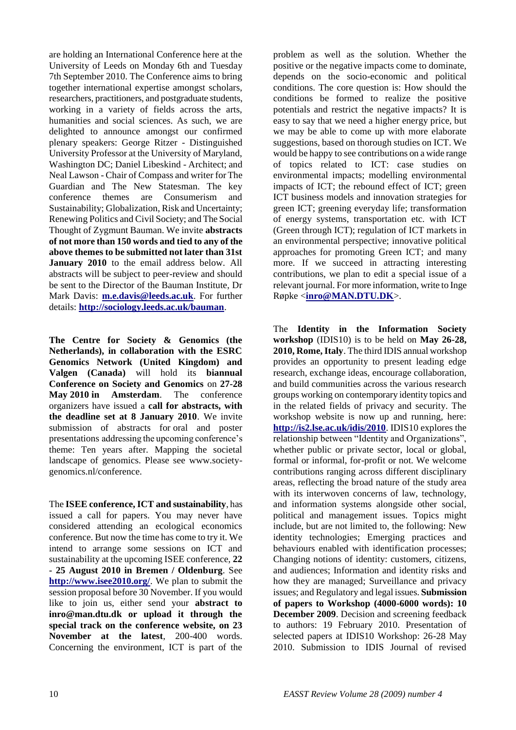are holding an International Conference here at the University of Leeds on Monday 6th and Tuesday 7th September 2010. The Conference aims to bring together international expertise amongst scholars, researchers, practitioners, and postgraduate students, working in a variety of fields across the arts, humanities and social sciences. As such, we are delighted to announce amongst our confirmed plenary speakers: George Ritzer - Distinguished University Professor at the University of Maryland, Washington DC; Daniel Libeskind - Architect; and Neal Lawson - Chair of Compass and writer for The Guardian and The New Statesman. The key conference themes are Consumerism and Sustainability; Globalization, Risk and Uncertainty; Renewing Politics and Civil Society; and The Social Thought of Zygmunt Bauman. We invite **abstracts of not more than 150 words and tied to any of the above themes to be submitted not later than 31st January 2010** to the email address below. All abstracts will be subject to peer-review and should be sent to the Director of the Bauman Institute, Dr Mark Davis: **[m.e.davis@leeds.ac.uk](mailto:m.e.davis@leeds.ac.uk)**. For further details: **<http://sociology.leeds.ac.uk/bauman>**.

**The Centre for Society & Genomics (the Netherlands), in collaboration with the ESRC Genomics Network (United Kingdom) and Valgen (Canada)** will hold its **biannual Conference on Society and Genomics** on **27-28 May 2010 in Amsterdam**. The conference organizers have issued a **call for abstracts, with the deadline set at 8 January 2010**. We invite submission of abstracts for oral and poster presentations addressing the upcoming conference"s theme: Ten years after. Mapping the societal landscape of genomics. Please see www.societygenomics.nl/conference.

The **ISEE conference, ICT and sustainability**, has issued a call for papers. You may never have considered attending an ecological economics conference. But now the time has come to try it. We intend to arrange some sessions on ICT and sustainability at the upcoming ISEE conference, **22 - 25 August 2010 in Bremen / Oldenburg**. See **<http://www.isee2010.org/>**. We plan to submit the session proposal before 30 November. If you would like to join us, either send your **abstract to inro@man.dtu.dk or upload it through the special track on the conference website, on 23 November at the latest**, 200-400 words. Concerning the environment, ICT is part of the

problem as well as the solution. Whether the positive or the negative impacts come to dominate, depends on the socio-economic and political conditions. The core question is: How should the conditions be formed to realize the positive potentials and restrict the negative impacts? It is easy to say that we need a higher energy price, but we may be able to come up with more elaborate suggestions, based on thorough studies on ICT. We would be happy to see contributions on a wide range of topics related to ICT: case studies on environmental impacts; modelling environmental impacts of ICT; the rebound effect of ICT; green ICT business models and innovation strategies for green ICT; greening everyday life; transformation of energy systems, transportation etc. with ICT (Green through ICT); regulation of ICT markets in an environmental perspective; innovative political approaches for promoting Green ICT; and many more. If we succeed in attracting interesting contributions, we plan to edit a special issue of a relevant journal. For more information, write to Inge Røpke <**[inro@MAN.DTU.DK](mailto:inro@MAN.DTU.DK)**>.

The **Identity in the Information Society workshop** (IDIS10) is to be held on **May 26-28, 2010, Rome, Italy**. The third IDIS annual workshop provides an opportunity to present leading edge research, exchange ideas, encourage collaboration, and build communities across the various research groups working on contemporary identity topics and in the related fields of privacy and security. The workshop website is now up and running, here: **<http://is2.lse.ac.uk/idis/2010>**. IDIS10 explores the relationship between "Identity and Organizations", whether public or private sector, local or global, formal or informal, for-profit or not. We welcome contributions ranging across different disciplinary areas, reflecting the broad nature of the study area with its interwoven concerns of law, technology, and information systems alongside other social, political and management issues. Topics might include, but are not limited to, the following: New identity technologies; Emerging practices and behaviours enabled with identification processes; Changing notions of identity: customers, citizens, and audiences; Information and identity risks and how they are managed; Surveillance and privacy issues; and Regulatory and legal issues. **Submission of papers to Workshop (4000-6000 words): 10 December 2009.** Decision and screening feedback to authors: 19 February 2010. Presentation of selected papers at IDIS10 Workshop: 26-28 May 2010. Submission to IDIS Journal of revised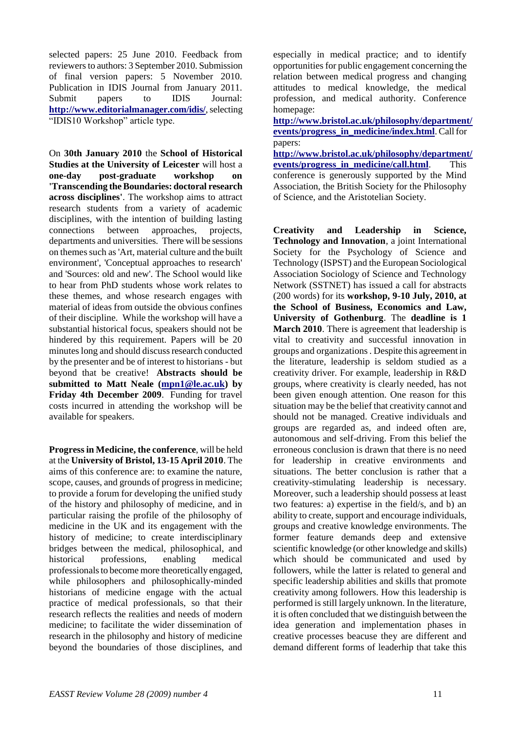selected papers: 25 June 2010. Feedback from reviewers to authors: 3 September 2010. Submission of final version papers: 5 November 2010. Publication in IDIS Journal from January 2011. Submit papers to IDIS Journal: **<http://www.editorialmanager.com/idis/>**, selecting "IDIS10 Workshop" article type.

On **30th January 2010** the **School of Historical Studies at the University of Leicester** will host a **one-day post-graduate workshop on 'Transcending the Boundaries: doctoral research across disciplines'**. The workshop aims to attract research students from a variety of academic disciplines, with the intention of building lasting connections between approaches, projects, departments and universities. There will be sessions on themes such as 'Art, material culture and the built environment', 'Conceptual approaches to research' and 'Sources: old and new'. The School would like to hear from PhD students whose work relates to these themes, and whose research engages with material of ideas from outside the obvious confines of their discipline. While the workshop will have a substantial historical focus, speakers should not be hindered by this requirement. Papers will be 20 minutes long and should discuss research conducted by the presenter and be of interest to historians - but beyond that be creative! **Abstracts should be submitted to Matt Neale [\(mpn1@le.ac.uk\)](mailto:mpn1@le.ac.uk) by Friday 4th December 2009**. Funding for travel costs incurred in attending the workshop will be available for speakers.

**Progress in Medicine, the conference**, will be held at the **University of Bristol, 13-15 April 2010**. The aims of this conference are: to examine the nature, scope, causes, and grounds of progress in medicine; to provide a forum for developing the unified study of the history and philosophy of medicine, and in particular raising the profile of the philosophy of medicine in the UK and its engagement with the history of medicine; to create interdisciplinary bridges between the medical, philosophical, and historical professions, enabling medical professionals to become more theoretically engaged, while philosophers and philosophically-minded historians of medicine engage with the actual practice of medical professionals, so that their research reflects the realities and needs of modern medicine; to facilitate the wider dissemination of research in the philosophy and history of medicine beyond the boundaries of those disciplines, and especially in medical practice; and to identify opportunities for public engagement concerning the relation between medical progress and changing attitudes to medical knowledge, the medical profession, and medical authority. Conference homepage:

**[http://www.bristol.ac.uk/philosophy/department/](http://www.bristol.ac.uk/philosophy/department/events/progress_in_medicine/index.html) [events/progress\\_in\\_medicine/index.html](http://www.bristol.ac.uk/philosophy/department/events/progress_in_medicine/index.html)**. Call for papers:

**[http://www.bristol.ac.uk/philosophy/department/](http://www.bristol.ac.uk/philosophy/department/events/progress_in_medicine/call.html) [events/progress\\_in\\_medicine/call.html](http://www.bristol.ac.uk/philosophy/department/events/progress_in_medicine/call.html)**. This conference is generously supported by the Mind Association, the British Society for the Philosophy of Science, and the Aristotelian Society.

**Creativity and Leadership in Science, Technology and Innovation**, a joint International Society for the Psychology of Science and Technology (ISPST) and the European Sociological Association Sociology of Science and Technology Network (SSTNET) has issued a call for abstracts (200 words) for its **workshop, 9-10 July, 2010, at the School of Business, Economics and Law, University of Gothenburg**. The **deadline is 1 March 2010**. There is agreement that leadership is vital to creativity and successful innovation in groups and organizations . Despite this agreement in the literature, leadership is seldom studied as a creativity driver. For example, leadership in R&D groups, where creativity is clearly needed, has not been given enough attention. One reason for this situation may be the belief that creativity cannot and should not be managed. Creative individuals and groups are regarded as, and indeed often are, autonomous and self-driving. From this belief the erroneous conclusion is drawn that there is no need for leadership in creative environments and situations. The better conclusion is rather that a creativity-stimulating leadership is necessary. Moreover, such a leadership should possess at least two features: a) expertise in the field/s, and b) an ability to create, support and encourage individuals, groups and creative knowledge environments. The former feature demands deep and extensive scientific knowledge (or other knowledge and skills) which should be communicated and used by followers, while the latter is related to general and specific leadership abilities and skills that promote creativity among followers. How this leadership is performed is still largely unknown. In the literature, it is often concluded that we distinguish between the idea generation and implementation phases in creative processes beacuse they are different and demand different forms of leaderhip that take this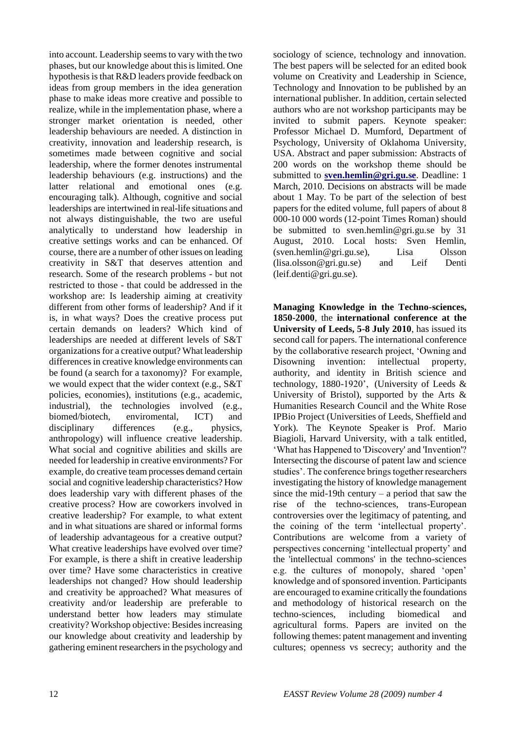into account. Leadership seems to vary with the two phases, but our knowledge about this is limited. One hypothesis is that R&D leaders provide feedback on ideas from group members in the idea generation phase to make ideas more creative and possible to realize, while in the implementation phase, where a stronger market orientation is needed, other leadership behaviours are needed. A distinction in creativity, innovation and leadership research, is sometimes made between cognitive and social leadership, where the former denotes instrumental leadership behaviours (e.g. instructions) and the latter relational and emotional ones (e.g. encouraging talk). Although, cognitive and social leaderships are intertwined in real-life situations and not always distinguishable, the two are useful analytically to understand how leadership in creative settings works and can be enhanced. Of course, there are a number of other issues on leading creativity in S&T that deserves attention and research. Some of the research problems - but not restricted to those - that could be addressed in the workshop are: Is leadership aiming at creativity different from other forms of leadership? And if it is, in what ways? Does the creative process put certain demands on leaders? Which kind of leaderships are needed at different levels of S&T organizations for a creative output? What leadership differences in creative knowledge environments can be found (a search for a taxonomy)? For example, we would expect that the wider context (e.g., S&T policies, economies), institutions (e.g., academic, industrial), the technologies involved (e.g., biomed/biotech, enviromental, ICT) and disciplinary differences (e.g., physics, anthropology) will influence creative leadership. What social and cognitive abilities and skills are needed for leadership in creative environments? For example, do creative team processes demand certain social and cognitive leadership characteristics? How does leadership vary with different phases of the creative process? How are coworkers involved in creative leadership? For example, to what extent and in what situations are shared or informal forms of leadership advantageous for a creative output? What creative leaderships have evolved over time? For example, is there a shift in creative leadership over time? Have some characteristics in creative leaderships not changed? How should leadership and creativity be approached? What measures of creativity and/or leadership are preferable to understand better how leaders may stimulate creativity? Workshop objective: Besides increasing our knowledge about creativity and leadership by gathering eminent researchers in the psychology and

sociology of science, technology and innovation. The best papers will be selected for an edited book volume on Creativity and Leadership in Science, Technology and Innovation to be published by an international publisher. In addition, certain selected authors who are not workshop participants may be invited to submit papers. Keynote speaker: Professor Michael D. Mumford, Department of Psychology, University of Oklahoma University, USA. Abstract and paper submission: Abstracts of 200 words on the workshop theme should be submitted to **[sven.hemlin@gri.gu.se](mailto:sven.hemlin@gri.gu.se)**. Deadline: 1 March, 2010. Decisions on abstracts will be made about 1 May. To be part of the selection of best papers for the edited volume, full papers of about 8 000-10 000 words (12-point Times Roman) should be submitted to sven.hemlin@gri.gu.se by 31 August, 2010. Local hosts: Sven Hemlin, (sven.hemlin@gri.gu.se), Lisa Olsson (lisa.olsson@gri.gu.se) and Leif Denti (leif.denti@gri.gu.se).

**Managing Knowledge in the Techno-sciences, 1850-2000**, the **international conference at the University of Leeds, 5-8 July 2010**, has issued its second call for papers. The international conference by the collaborative research project, "Owning and Disowning invention: intellectual property, authority, and identity in British science and technology, 1880-1920', (University of Leeds  $&$ University of Bristol), supported by the Arts  $\&$ Humanities Research Council and the White Rose IPBio Project (Universities of Leeds, Sheffield and York). The Keynote Speaker is Prof. Mario Biagioli, Harvard University, with a talk entitled, "What has Happened to 'Discovery' and 'Invention'? Intersecting the discourse of patent law and science studies". The conference brings together researchers investigating the history of knowledge management since the mid-19th century  $-$  a period that saw the rise of the techno-sciences, trans-European controversies over the legitimacy of patenting, and the coining of the term "intellectual property". Contributions are welcome from a variety of perspectives concerning "intellectual property" and the 'intellectual commons' in the techno-sciences e.g. the cultures of monopoly, shared "open" knowledge and of sponsored invention. Participants are encouraged to examine critically the foundations and methodology of historical research on the techno-sciences, including biomedical and agricultural forms. Papers are invited on the following themes: patent management and inventing cultures; openness vs secrecy; authority and the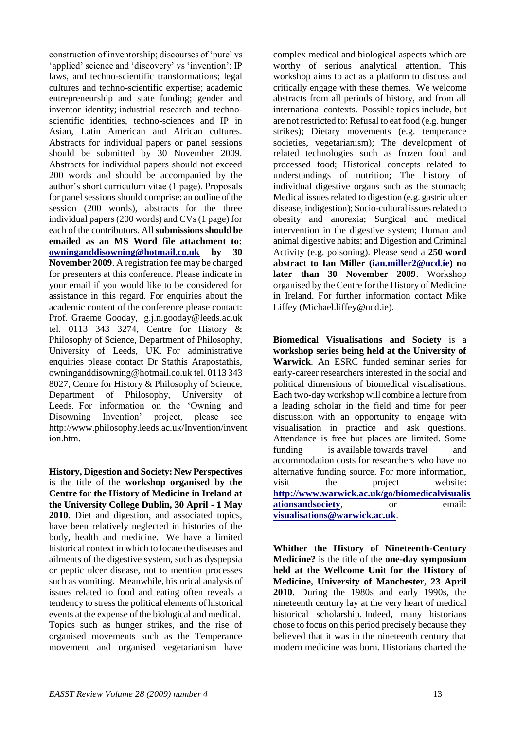construction of inventorship; discourses of "pure" vs 'applied' science and 'discovery' vs 'invention'; IP laws, and techno-scientific transformations; legal cultures and techno-scientific expertise; academic entrepreneurship and state funding; gender and inventor identity; industrial research and technoscientific identities, techno-sciences and IP in Asian, Latin American and African cultures. Abstracts for individual papers or panel sessions should be submitted by 30 November 2009. Abstracts for individual papers should not exceed 200 words and should be accompanied by the author"s short curriculum vitae (1 page). Proposals for panel sessions should comprise: an outline of the session (200 words), abstracts for the three individual papers (200 words) and CVs (1 page) for each of the contributors. All **submissions should be emailed as an MS Word file attachment to: [owninganddisowning@hotmail.co.uk](mailto:owninganddisowning@hotmail.co.uk) by 30 November 2009**. A registration fee may be charged for presenters at this conference. Please indicate in your email if you would like to be considered for assistance in this regard. For enquiries about the academic content of the conference please contact: Prof. Graeme Gooday, g.j.n.gooday@leeds.ac.uk tel. 0113 343 3274, Centre for History & Philosophy of Science, Department of Philosophy, University of Leeds, UK. For administrative enquiries please contact Dr Stathis Arapostathis, owninganddisowning@hotmail.co.uk tel. 0113 343 8027, Centre for History & Philosophy of Science, Department of Philosophy, University of Leeds. For information on the "Owning and Disowning Invention" project, please see http://www.philosophy.leeds.ac.uk/Invention/invent ion.htm.

**History, Digestion and Society: New Perspectives** is the title of the **workshop organised by the Centre for the History of Medicine in Ireland at the University College Dublin, 30 April - 1 May 2010**. Diet and digestion, and associated topics, have been relatively neglected in histories of the body, health and medicine. We have a limited historical context in which to locate the diseases and ailments of the digestive system, such as dyspepsia or peptic ulcer disease, not to mention processes such as vomiting. Meanwhile, historical analysis of issues related to food and eating often reveals a tendency to stress the political elements of historical events at the expense of the biological and medical. Topics such as hunger strikes, and the rise of organised movements such as the Temperance movement and organised vegetarianism have

complex medical and biological aspects which are worthy of serious analytical attention. This workshop aims to act as a platform to discuss and critically engage with these themes. We welcome abstracts from all periods of history, and from all international contexts. Possible topics include, but are not restricted to: Refusal to eat food (e.g. hunger strikes); Dietary movements (e.g. temperance societies, vegetarianism); The development of related technologies such as frozen food and processed food; Historical concepts related to understandings of nutrition; The history of individual digestive organs such as the stomach; Medical issues related to digestion (e.g. gastric ulcer disease, indigestion); Socio-cultural issues related to obesity and anorexia; Surgical and medical intervention in the digestive system; Human and animal digestive habits; and Digestion and Criminal Activity (e.g. poisoning). Please send a **250 word abstract to Ian Miller [\(ian.miller2@ucd.ie\)](mailto:ian.miller2@ucd.ie) no later than 30 November 2009**. Workshop organised by the Centre for the History of Medicine in Ireland. For further information contact Mike Liffey (Michael.liffey@ucd.ie).

**Biomedical Visualisations and Society** is a **workshop series being held at the University of Warwick**. An ESRC funded seminar series for early-career researchers interested in the social and political dimensions of biomedical visualisations. Each two-day workshop will combine a lecture from a leading scholar in the field and time for peer discussion with an opportunity to engage with visualisation in practice and ask questions. Attendance is free but places are limited. Some funding is available towards travel and accommodation costs for researchers who have no alternative funding source. For more information, visit the project website: **[http://www.warwick.ac.uk/go/biomedicalvisualis](http://www.warwick.ac.uk/go/biomedicalvisualisationsandsociety) [ationsandsociety](http://www.warwick.ac.uk/go/biomedicalvisualisationsandsociety)**, or email: **[visualisations@warwick.ac.uk](mailto:visualisations@warwick.ac.uk)**.

**Whither the History of Nineteenth-Century Medicine?** is the title of the **one-day symposium held at the Wellcome Unit for the History of Medicine, University of Manchester, 23 April 2010**. During the 1980s and early 1990s, the nineteenth century lay at the very heart of medical historical scholarship. Indeed, many historians chose to focus on this period precisely because they believed that it was in the nineteenth century that modern medicine was born. Historians charted the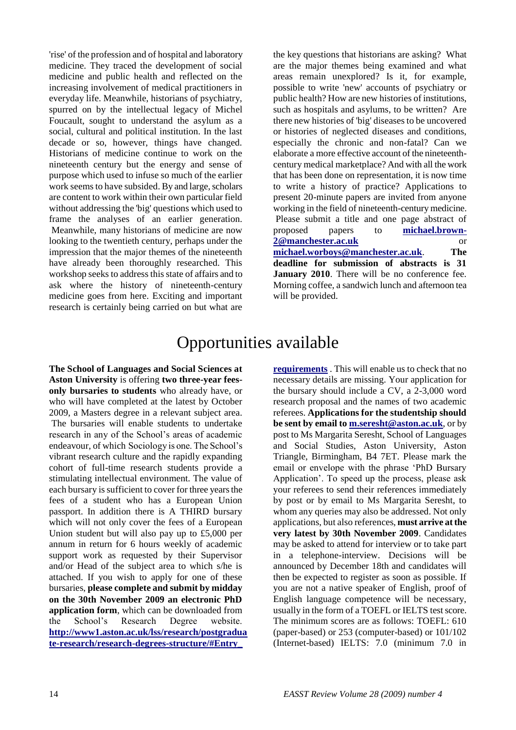'rise' of the profession and of hospital and laboratory medicine. They traced the development of social medicine and public health and reflected on the increasing involvement of medical practitioners in everyday life. Meanwhile, historians of psychiatry, spurred on by the intellectual legacy of Michel Foucault, sought to understand the asylum as a social, cultural and political institution. In the last decade or so, however, things have changed. Historians of medicine continue to work on the nineteenth century but the energy and sense of purpose which used to infuse so much of the earlier work seems to have subsided. By and large, scholars are content to work within their own particular field without addressing the 'big' questions which used to frame the analyses of an earlier generation. Meanwhile, many historians of medicine are now looking to the twentieth century, perhaps under the impression that the major themes of the nineteenth have already been thoroughly researched. This workshop seeks to address this state of affairs and to ask where the history of nineteenth-century medicine goes from here. Exciting and important research is certainly being carried on but what are

the key questions that historians are asking? What are the major themes being examined and what areas remain unexplored? Is it, for example, possible to write 'new' accounts of psychiatry or public health? How are new histories of institutions, such as hospitals and asylums, to be written? Are there new histories of 'big' diseases to be uncovered or histories of neglected diseases and conditions, especially the chronic and non-fatal? Can we elaborate a more effective account of the nineteenthcentury medical marketplace? And with all the work that has been done on representation, it is now time to write a history of practice? Applications to present 20-minute papers are invited from anyone working in the field of nineteenth-century medicine. Please submit a title and one page abstract of proposed papers to **[michael.brown-](mailto:michael.brown-2@manchester.ac.uk)[2@manchester.ac.uk](mailto:michael.brown-2@manchester.ac.uk)** or **[michael.worboys@manchester.ac.uk](mailto:michael.worboys@manchester.ac.uk)**. **The deadline for submission of abstracts is 31 January 2010**. There will be no conference fee. Morning coffee, a sandwich lunch and afternoon tea will be provided.

# Opportunities available

**The School of Languages and Social Sciences at Aston University** is offering **two three-year feesonly bursaries to students** who already have, or who will have completed at the latest by October 2009, a Masters degree in a relevant subject area. The bursaries will enable students to undertake research in any of the School"s areas of academic endeavour, of which Sociology is one. The School"s vibrant research culture and the rapidly expanding cohort of full-time research students provide a stimulating intellectual environment. The value of each bursary is sufficient to cover for three years the fees of a student who has a European Union passport. In addition there is A THIRD bursary which will not only cover the fees of a European Union student but will also pay up to £5,000 per annum in return for 6 hours weekly of academic support work as requested by their Supervisor and/or Head of the subject area to which s/he is attached. If you wish to apply for one of these bursaries, **please complete and submit by midday on the 30th November 2009 an electronic PhD application form**, which can be downloaded from the School"s Research Degree website. **[http://www1.aston.ac.uk/lss/research/postgradua](http://www1.aston.ac.uk/lss/research/postgraduate-research/research-degrees-structure/#Entry_ requirements) [te-research/research-degrees-structure/#Entry\\_](http://www1.aston.ac.uk/lss/research/postgraduate-research/research-degrees-structure/#Entry_ requirements)** 

**[requirements](http://www1.aston.ac.uk/lss/research/postgraduate-research/research-degrees-structure/#Entry_ requirements)** . This will enable us to check that no necessary details are missing. Your application for the bursary should include a CV, a 2-3,000 word research proposal and the names of two academic referees. **Applications for the studentship should be sent by email to [m.seresht@aston.ac.uk](mailto:m.seresht@aston.ac.uk)**, or by post to Ms Margarita Seresht, School of Languages and Social Studies, Aston University, Aston Triangle, Birmingham, B4 7ET. Please mark the email or envelope with the phrase "PhD Bursary Application". To speed up the process, please ask your referees to send their references immediately by post or by email to Ms Margarita Seresht, to whom any queries may also be addressed. Not only applications, but also references, **must arrive at the very latest by 30th November 2009**. Candidates may be asked to attend for interview or to take part in a telephone-interview. Decisions will be announced by December 18th and candidates will then be expected to register as soon as possible. If you are not a native speaker of English, proof of English language competence will be necessary, usually in the form of a TOEFL or IELTS test score. The minimum scores are as follows: TOEFL: 610 (paper-based) or 253 (computer-based) or 101/102 (Internet-based) IELTS: 7.0 (minimum 7.0 in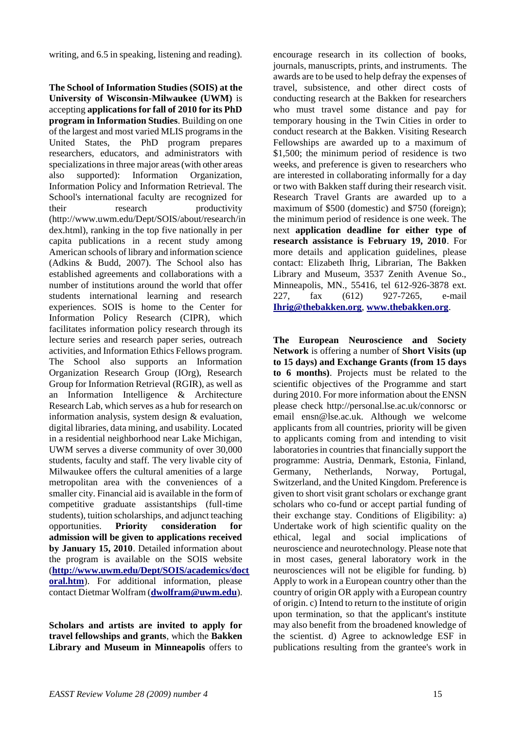writing, and 6.5 in speaking, listening and reading).

**The School of Information Studies (SOIS) at the University of Wisconsin-Milwaukee (UWM)** is accepting **applications for fall of 2010 for its PhD program in Information Studies**. Building on one of the largest and most varied MLIS programs in the United States, the PhD program prepares researchers, educators, and administrators with specializations in three major areas (with other areas also supported): Information Organization, Information Policy and Information Retrieval. The School's international faculty are recognized for their research productivity (http://www.uwm.edu/Dept/SOIS/about/research/in dex.html), ranking in the top five nationally in per capita publications in a recent study among American schools of library and information science (Adkins & Budd, 2007). The School also has established agreements and collaborations with a number of institutions around the world that offer students international learning and research experiences. SOIS is home to the Center for Information Policy Research (CIPR), which facilitates information policy research through its lecture series and research paper series, outreach activities, and Information Ethics Fellows program. The School also supports an Information Organization Research Group (IOrg), Research Group for Information Retrieval (RGIR), as well as an Information Intelligence & Architecture Research Lab, which serves as a hub for research on information analysis, system design & evaluation, digital libraries, data mining, and usability. Located in a residential neighborhood near Lake Michigan, UWM serves a diverse community of over 30,000 students, faculty and staff. The very livable city of Milwaukee offers the cultural amenities of a large metropolitan area with the conveniences of a smaller city. Financial aid is available in the form of competitive graduate assistantships (full-time students), tuition scholarships, and adjunct teaching opportunities. **Priority consideration for admission will be given to applications received by January 15, 2010**. Detailed information about the program is available on the SOIS website (**[http://www.uwm.edu/Dept/SOIS/academics/doct](http://www.uwm.edu/Dept/SOIS/academics/doctoral.htm) [oral.htm](http://www.uwm.edu/Dept/SOIS/academics/doctoral.htm)**). For additional information, please contact Dietmar Wolfram (**[dwolfram@uwm.edu](mailto:dwolfram@uwm.edu)**).

**Scholars and artists are invited to apply for travel fellowships and grants**, which the **Bakken Library and Museum in Minneapolis** offers to

encourage research in its collection of books, journals, manuscripts, prints, and instruments. The awards are to be used to help defray the expenses of travel, subsistence, and other direct costs of conducting research at the Bakken for researchers who must travel some distance and pay for temporary housing in the Twin Cities in order to conduct research at the Bakken. Visiting Research Fellowships are awarded up to a maximum of \$1,500; the minimum period of residence is two weeks, and preference is given to researchers who are interested in collaborating informally for a day or two with Bakken staff during their research visit. Research Travel Grants are awarded up to a maximum of \$500 (domestic) and \$750 (foreign); the minimum period of residence is one week. The next **application deadline for either type of research assistance is February 19, 2010**. For more details and application guidelines, please contact: Elizabeth Ihrig, Librarian, The Bakken Library and Museum, 3537 Zenith Avenue So., Minneapolis, MN., 55416, tel 612-926-3878 ext. 227, fax (612) 927-7265, e-mail **[Ihrig@thebakken.org](mailto:Ihrig@thebakken.org)**, **[www.thebakken.org](http://www.thebakken.org/)**.

**The European Neuroscience and Society Network** is offering a number of **Short Visits (up to 15 days) and Exchange Grants (from 15 days to 6 months)**. Projects must be related to the scientific objectives of the Programme and start during 2010. For more information about the ENSN please check http://personal.lse.ac.uk/connorsc or email ensn@lse.ac.uk. Although we welcome applicants from all countries, priority will be given to applicants coming from and intending to visit laboratories in countries that financially support the programme: Austria, Denmark, Estonia, Finland, Germany, Netherlands, Norway, Portugal, Switzerland, and the United Kingdom. Preference is given to short visit grant scholars or exchange grant scholars who co-fund or accept partial funding of their exchange stay. Conditions of Eligibility: a) Undertake work of high scientific quality on the ethical, legal and social implications of neuroscience and neurotechnology. Please note that in most cases, general laboratory work in the neurosciences will not be eligible for funding. b) Apply to work in a European country other than the country of origin OR apply with a European country of origin. c) Intend to return to the institute of origin upon termination, so that the applicant's institute may also benefit from the broadened knowledge of the scientist. d) Agree to acknowledge ESF in publications resulting from the grantee's work in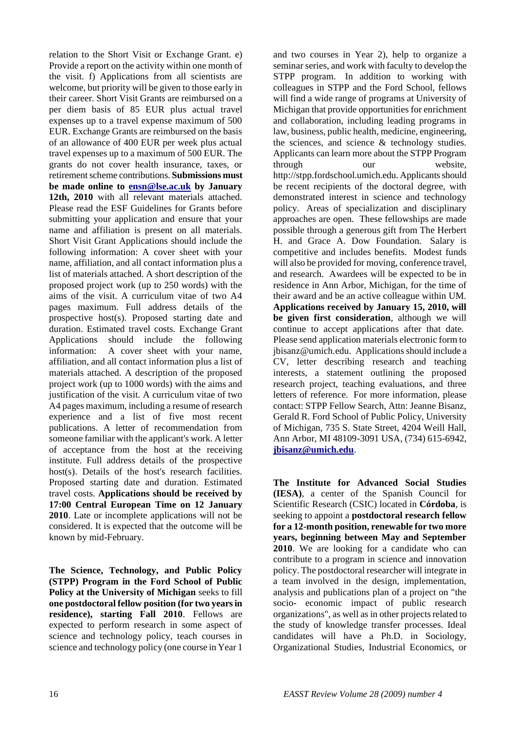relation to the Short Visit or Exchange Grant. e) Provide a report on the activity within one month of the visit. f) Applications from all scientists are welcome, but priority will be given to those early in their career. Short Visit Grants are reimbursed on a per diem basis of 85 EUR plus actual travel expenses up to a travel expense maximum of 500 EUR. Exchange Grants are reimbursed on the basis of an allowance of 400 EUR per week plus actual travel expenses up to a maximum of 500 EUR. The grants do not cover health insurance, taxes, or retirement scheme contributions. **Submissions must be made online to [ensn@lse.ac.uk](mailto:ensn@lse.ac.uk) by January 12th, 2010** with all relevant materials attached. Please read the ESF Guidelines for Grants before submitting your application and ensure that your name and affiliation is present on all materials. Short Visit Grant Applications should include the following information: A cover sheet with your name, affiliation, and all contact information plus a list of materials attached. A short description of the proposed project work (up to 250 words) with the aims of the visit. A curriculum vitae of two A4 pages maximum. Full address details of the prospective host(s). Proposed starting date and duration. Estimated travel costs. Exchange Grant Applications should include the following information: A cover sheet with your name, affiliation, and all contact information plus a list of materials attached. A description of the proposed project work (up to 1000 words) with the aims and justification of the visit. A curriculum vitae of two A4 pages maximum, including a resume of research experience and a list of five most recent publications. A letter of recommendation from someone familiar with the applicant's work. A letter of acceptance from the host at the receiving institute. Full address details of the prospective host(s). Details of the host's research facilities. Proposed starting date and duration. Estimated travel costs. **Applications should be received by 17:00 Central European Time on 12 January 2010**. Late or incomplete applications will not be considered. It is expected that the outcome will be known by mid-February.

**The Science, Technology, and Public Policy (STPP) Program in the Ford School of Public Policy at the University of Michigan** seeks to fill **one postdoctoral fellow position (for two years in residence), starting Fall 2010**. Fellows are expected to perform research in some aspect of science and technology policy, teach courses in science and technology policy (one course in Year 1

and two courses in Year 2), help to organize a seminar series, and work with faculty to develop the STPP program. In addition to working with colleagues in STPP and the Ford School, fellows will find a wide range of programs at University of Michigan that provide opportunities for enrichment and collaboration, including leading programs in law, business, public health, medicine, engineering, the sciences, and science  $\&$  technology studies. Applicants can learn more about the STPP Program through our website, http://stpp.fordschool.umich.edu. Applicants should be recent recipients of the doctoral degree, with demonstrated interest in science and technology policy. Areas of specialization and disciplinary approaches are open. These fellowships are made possible through a generous gift from The Herbert H. and Grace A. Dow Foundation. Salary is competitive and includes benefits. Modest funds will also be provided for moving, conference travel. and research. Awardees will be expected to be in residence in Ann Arbor, Michigan, for the time of their award and be an active colleague within UM. **Applications received by January 15, 2010, will be given first consideration**, although we will continue to accept applications after that date. Please send application materials electronic form to jbisanz@umich.edu. Applications should include a CV, letter describing research and teaching interests, a statement outlining the proposed research project, teaching evaluations, and three letters of reference. For more information, please contact: STPP Fellow Search, Attn: Jeanne Bisanz, Gerald R. Ford School of Public Policy, University of Michigan, 735 S. State Street, 4204 Weill Hall, Ann Arbor, MI 48109-3091 USA, (734) 615-6942, **[jbisanz@umich.edu](mailto:jbisanz@umich.edu)**.

**The Institute for Advanced Social Studies (IESA)**, a center of the Spanish Council for Scientific Research (CSIC) located in **Córdoba**, is seeking to appoint a **postdoctoral research fellow for a 12-month position, renewable for two more years, beginning between May and September 2010**. We are looking for a candidate who can contribute to a program in science and innovation policy. The postdoctoral researcher will integrate in a team involved in the design, implementation, analysis and publications plan of a project on "the socio- economic impact of public research organizations", as well as in other projects related to the study of knowledge transfer processes. Ideal candidates will have a Ph.D. in Sociology, Organizational Studies, Industrial Economics, or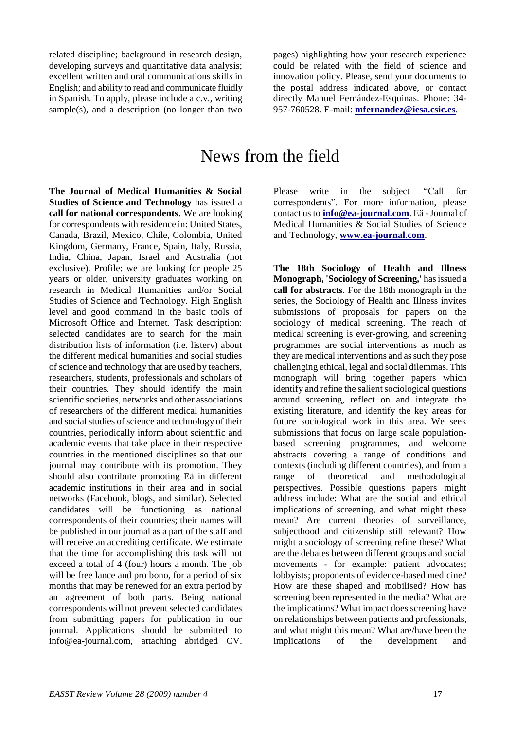related discipline; background in research design, developing surveys and quantitative data analysis; excellent written and oral communications skills in English; and ability to read and communicate fluidly in Spanish. To apply, please include a c.v., writing sample(s), and a description (no longer than two

pages) highlighting how your research experience could be related with the field of science and innovation policy. Please, send your documents to the postal address indicated above, or contact directly Manuel Fernández-Esquinas. Phone: 34- 957-760528. E-mail: **[mfernandez@iesa.csic.es](mailto:mfernandez@iesa.csic.es)**.

## News from the field

**The Journal of Medical Humanities & Social Studies of Science and Technology** has issued a **call for national correspondents**. We are looking for correspondents with residence in: United States, Canada, Brazil, Mexico, Chile, Colombia, United Kingdom, Germany, France, Spain, Italy, Russia, India, China, Japan, Israel and Australia (not exclusive). Profile: we are looking for people 25 years or older, university graduates working on research in Medical Humanities and/or Social Studies of Science and Technology. High English level and good command in the basic tools of Microsoft Office and Internet. Task description: selected candidates are to search for the main distribution lists of information (i.e. listerv) about the different medical humanities and social studies of science and technology that are used by teachers, researchers, students, professionals and scholars of their countries. They should identify the main scientific societies, networks and other associations of researchers of the different medical humanities and social studies of science and technology of their countries, periodically inform about scientific and academic events that take place in their respective countries in the mentioned disciplines so that our journal may contribute with its promotion. They should also contribute promoting Eä in different academic institutions in their area and in social networks (Facebook, blogs, and similar). Selected candidates will be functioning as national correspondents of their countries; their names will be published in our journal as a part of the staff and will receive an accrediting certificate. We estimate that the time for accomplishing this task will not exceed a total of 4 (four) hours a month. The job will be free lance and pro bono, for a period of six months that may be renewed for an extra period by an agreement of both parts. Being national correspondents will not prevent selected candidates from submitting papers for publication in our journal. Applications should be submitted to info@ea-journal.com, attaching abridged CV.

Please write in the subject "Call for correspondents". For more information, please contact us to **[info@ea-journal.com](mailto:info@ea-journal.com)**. Eä -Journal of Medical Humanities & Social Studies of Science and Technology, **[www.ea-journal.com](http://www.ea-journal.com/)**.

**The 18th Sociology of Health and Illness Monograph, 'Sociology of Screening,'** has issued a **call for abstracts**. For the 18th monograph in the series, the Sociology of Health and Illness invites submissions of proposals for papers on the sociology of medical screening. The reach of medical screening is ever-growing, and screening programmes are social interventions as much as they are medical interventions and as such they pose challenging ethical, legal and social dilemmas. This monograph will bring together papers which identify and refine the salient sociological questions around screening, reflect on and integrate the existing literature, and identify the key areas for future sociological work in this area. We seek submissions that focus on large scale populationbased screening programmes, and welcome abstracts covering a range of conditions and contexts (including different countries), and from a range of theoretical and methodological perspectives. Possible questions papers might address include: What are the social and ethical implications of screening, and what might these mean? Are current theories of surveillance, subjecthood and citizenship still relevant? How might a sociology of screening refine these? What are the debates between different groups and social movements - for example: patient advocates; lobbyists; proponents of evidence-based medicine? How are these shaped and mobilised? How has screening been represented in the media? What are the implications? What impact does screening have on relationships between patients and professionals, and what might this mean? What are/have been the implications of the development and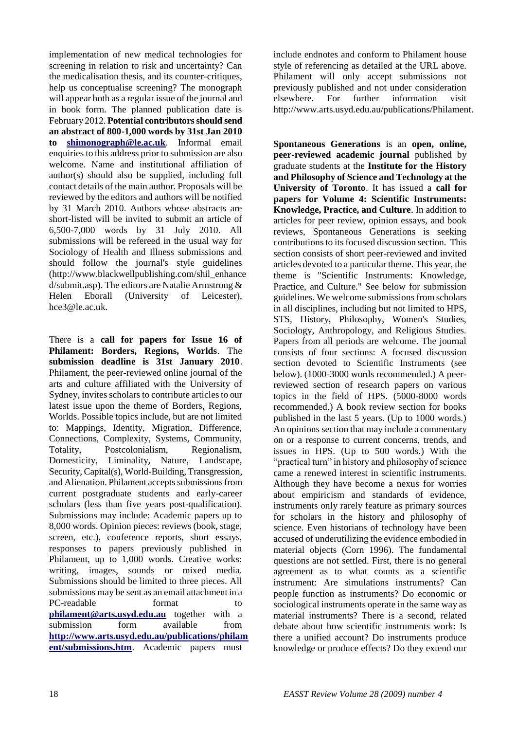implementation of new medical technologies for screening in relation to risk and uncertainty? Can the medicalisation thesis, and its counter-critiques, help us conceptualise screening? The monograph will appear both as a regular issue of the journal and in book form. The planned publication date is February 2012. **Potential contributors should send an abstract of 800-1,000 words by 31st Jan 2010 to [shimonograph@le.ac.uk](mailto:shimonograph@le.ac.uk)**. Informal email enquiries to this address prior to submission are also welcome. Name and institutional affiliation of author(s) should also be supplied, including full contact details of the main author. Proposals will be reviewed by the editors and authors will be notified by 31 March 2010. Authors whose abstracts are short-listed will be invited to submit an article of 6,500-7,000 words by 31 July 2010. All submissions will be refereed in the usual way for Sociology of Health and Illness submissions and should follow the journal's style guidelines (http://www.blackwellpublishing.com/shil\_enhance d/submit.asp). The editors are Natalie Armstrong & Helen Eborall (University of Leicester), hce3@le.ac.uk.

There is a **call for papers for Issue 16 of Philament: Borders, Regions, Worlds**. The **submission deadline is 31st January 2010**. Philament, the peer-reviewed online journal of the arts and culture affiliated with the University of Sydney, invites scholars to contribute articles to our latest issue upon the theme of Borders, Regions, Worlds. Possible topics include, but are not limited to: Mappings, Identity, Migration, Difference, Connections, Complexity, Systems, Community, Totality, Postcolonialism, Regionalism, Domesticity, Liminality, Nature, Landscape, Security, Capital(s), World-Building, Transgression, and Alienation. Philament accepts submissions from current postgraduate students and early-career scholars (less than five years post-qualification). Submissions may include: Academic papers up to 8,000 words. Opinion pieces: reviews (book, stage, screen, etc.), conference reports, short essays, responses to papers previously published in Philament, up to 1,000 words. Creative works: writing, images, sounds or mixed media. Submissions should be limited to three pieces. All submissions may be sent as an email attachment in a PC-readable format to **[philament@arts.usyd.edu.au](mailto:philament@arts.usyd.edu.au)** together with a submission form available from **[http://www.arts.usyd.edu.au/publications/philam](http://www.arts.usyd.edu.au/publications/philament/submissions.htm) [ent/submissions.htm](http://www.arts.usyd.edu.au/publications/philament/submissions.htm)**. Academic papers must

include endnotes and conform to Philament house style of referencing as detailed at the URL above. Philament will only accept submissions not previously published and not under consideration elsewhere. For further information visit http://www.arts.usyd.edu.au/publications/Philament.

**Spontaneous Generations** is an **open, online, peer-reviewed academic journal** published by graduate students at the **Institute for the History and Philosophy of Science and Technology at the University of Toronto**. It has issued a **call for papers for Volume 4: Scientific Instruments: Knowledge, Practice, and Culture**. In addition to articles for peer review, opinion essays, and book reviews, Spontaneous Generations is seeking contributions to its focused discussion section. This section consists of short peer-reviewed and invited articles devoted to a particular theme. This year, the theme is "Scientific Instruments: Knowledge, Practice, and Culture." See below for submission guidelines. We welcome submissions from scholars in all disciplines, including but not limited to HPS, STS, History, Philosophy, Women's Studies, Sociology, Anthropology, and Religious Studies. Papers from all periods are welcome. The journal consists of four sections: A focused discussion section devoted to Scientific Instruments (see below). (1000-3000 words recommended.) A peerreviewed section of research papers on various topics in the field of HPS. (5000-8000 words recommended.) A book review section for books published in the last 5 years. (Up to 1000 words.) An opinions section that may include a commentary on or a response to current concerns, trends, and issues in HPS. (Up to 500 words.) With the "practical turn" in history and philosophy of science came a renewed interest in scientific instruments. Although they have become a nexus for worries about empiricism and standards of evidence, instruments only rarely feature as primary sources for scholars in the history and philosophy of science. Even historians of technology have been accused of underutilizing the evidence embodied in material objects (Corn 1996). The fundamental questions are not settled. First, there is no general agreement as to what counts as a scientific instrument: Are simulations instruments? Can people function as instruments? Do economic or sociological instruments operate in the same way as material instruments? There is a second, related debate about how scientific instruments work: Is there a unified account? Do instruments produce knowledge or produce effects? Do they extend our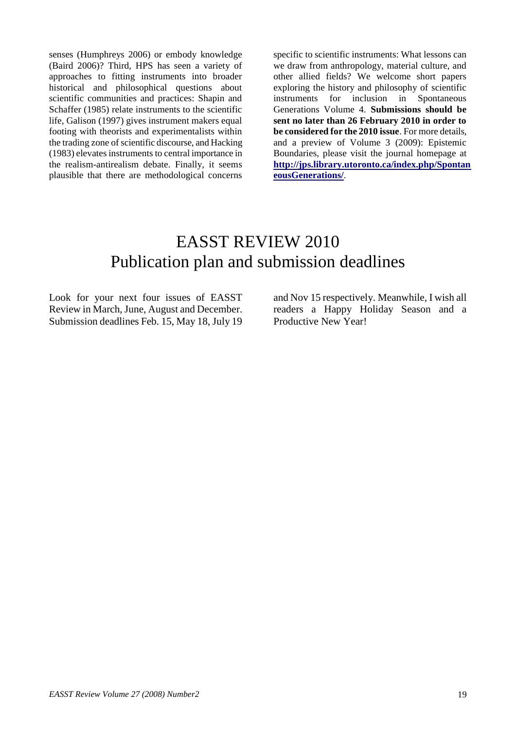senses (Humphreys 2006) or embody knowledge (Baird 2006)? Third, HPS has seen a variety of approaches to fitting instruments into broader historical and philosophical questions about scientific communities and practices: Shapin and Schaffer (1985) relate instruments to the scientific life, Galison (1997) gives instrument makers equal footing with theorists and experimentalists within the trading zone of scientific discourse, and Hacking (1983) elevates instruments to central importance in the realism-antirealism debate. Finally, it seems plausible that there are methodological concerns

specific to scientific instruments: What lessons can we draw from anthropology, material culture, and other allied fields? We welcome short papers exploring the history and philosophy of scientific instruments for inclusion in Spontaneous Generations Volume 4. **Submissions should be sent no later than 26 February 2010 in order to be considered for the 2010 issue**. For more details, and a preview of Volume 3 (2009): Epistemic Boundaries, please visit the journal homepage at **[http://jps.library.utoronto.ca/index.php/Spontan](http://jps.library.utoronto.ca/index.php/SpontaneousGenerations/) [eousGenerations/](http://jps.library.utoronto.ca/index.php/SpontaneousGenerations/)**.

# EASST REVIEW 2010 Publication plan and submission deadlines

Look for your next four issues of EASST Review in March, June, August and December. Submission deadlines Feb. 15, May 18, July 19 and Nov 15 respectively. Meanwhile, I wish all readers a Happy Holiday Season and a Productive New Year!